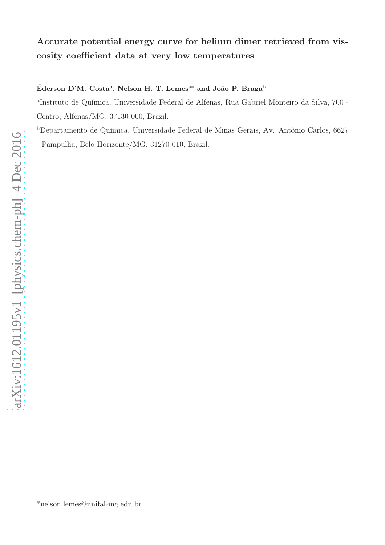# Accurate potential energy curve for helium dimer retrieved from viscosity coefficient data at very low temperatures

### Éderson D'M. Costa $^{\rm a}$ , Nelson H. T. Lemes $^{\rm a*}$  and João P. Braga $^{\rm b}$

<sup>a</sup>Instituto de Química, Universidade Federal de Alfenas, Rua Gabriel Monteiro da Silva, 700 -Centro, Alfenas/MG, 37130-000, Brazil.

 $b$ Departamento de Química, Universidade Federal de Minas Gerais, Av. Antônio Carlos, 6627 - Pampulha, Belo Horizonte/MG, 31270-010, Brazil.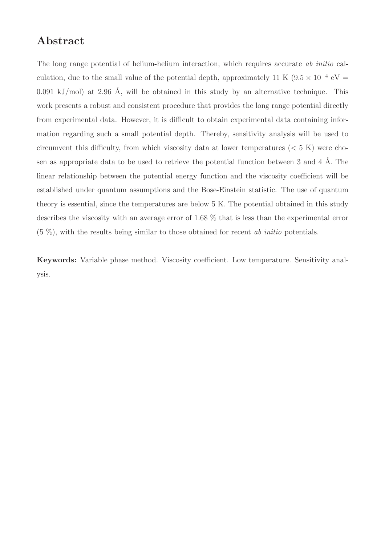# Abstract

The long range potential of helium-helium interaction, which requires accurate ab initio calculation, due to the small value of the potential depth, approximately 11 K ( $9.5 \times 10^{-4}$  eV = 0.091 kJ/mol) at 2.96 Å, will be obtained in this study by an alternative technique. This work presents a robust and consistent procedure that provides the long range potential directly from experimental data. However, it is difficult to obtain experimental data containing information regarding such a small potential depth. Thereby, sensitivity analysis will be used to circumvent this difficulty, from which viscosity data at lower temperatures  $(< 5 K)$  were chosen as appropriate data to be used to retrieve the potential function between  $3$  and  $4 \text{ Å}$ . The linear relationship between the potential energy function and the viscosity coefficient will be established under quantum assumptions and the Bose-Einstein statistic. The use of quantum theory is essential, since the temperatures are below 5 K. The potential obtained in this study describes the viscosity with an average error of 1.68 % that is less than the experimental error  $(5 \%)$ , with the results being similar to those obtained for recent *ab initio* potentials.

Keywords: Variable phase method. Viscosity coefficient. Low temperature. Sensitivity analysis.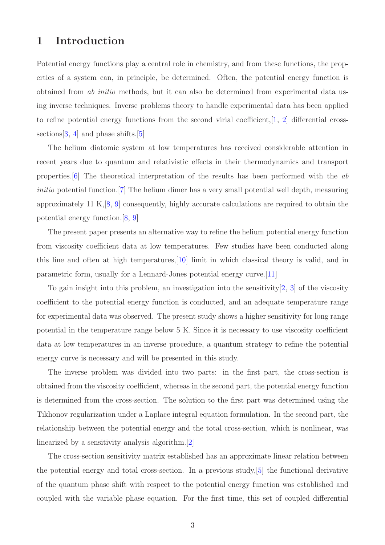# 1 Introduction

Potential energy functions play a central role in chemistry, and from these functions, the properties of a system can, in principle, be determined. Often, the potential energy function is obtained from ab initio methods, but it can also be determined from experimental data using inverse techniques. Inverse problems theory to handle experimental data has been applied to refine potential energy functions from the second virial coefficient,  $[1, 2]$  $[1, 2]$  $[1, 2]$  differential crosssections  $[3, 4]$  $[3, 4]$  $[3, 4]$  and phase shifts.  $[5]$ 

The helium diatomic system at low temperatures has received considerable attention in recent years due to quantum and relativistic effects in their thermodynamics and transport properties.[\[6\]](#page-10-5) The theoretical interpretation of the results has been performed with the ab initio potential function.<sup>[\[7\]](#page-10-6)</sup> The helium dimer has a very small potential well depth, measuring approximately 11 K,[\[8,](#page-10-7) [9\]](#page-11-0) consequently, highly accurate calculations are required to obtain the potential energy function.[\[8,](#page-10-7) [9\]](#page-11-0)

The present paper presents an alternative way to refine the helium potential energy function from viscosity coefficient data at low temperatures. Few studies have been conducted along this line and often at high temperatures,[\[10\]](#page-11-1) limit in which classical theory is valid, and in parametric form, usually for a Lennard-Jones potential energy curve.[\[11\]](#page-11-2)

To gain insight into this problem, an investigation into the sensitivity  $[2, 3]$  $[2, 3]$  $[2, 3]$  of the viscosity coefficient to the potential energy function is conducted, and an adequate temperature range for experimental data was observed. The present study shows a higher sensitivity for long range potential in the temperature range below 5 K. Since it is necessary to use viscosity coefficient data at low temperatures in an inverse procedure, a quantum strategy to refine the potential energy curve is necessary and will be presented in this study.

The inverse problem was divided into two parts: in the first part, the cross-section is obtained from the viscosity coefficient, whereas in the second part, the potential energy function is determined from the cross-section. The solution to the first part was determined using the Tikhonov regularization under a Laplace integral equation formulation. In the second part, the relationship between the potential energy and the total cross-section, which is nonlinear, was linearized by a sensitivity analysis algorithm.[\[2\]](#page-10-1)

The cross-section sensitivity matrix established has an approximate linear relation between the potential energy and total cross-section. In a previous study,[\[5\]](#page-10-4) the functional derivative of the quantum phase shift with respect to the potential energy function was established and coupled with the variable phase equation. For the first time, this set of coupled differential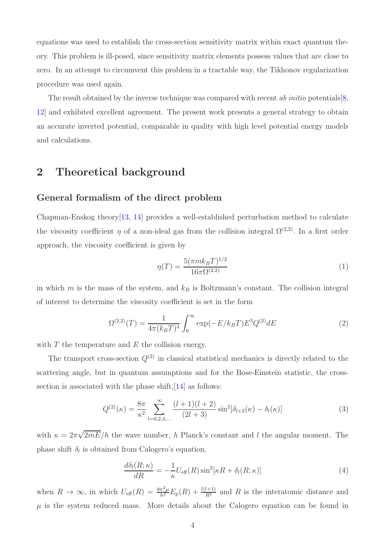equations was used to establish the cross-section sensitivity matrix within exact quantum theory. This problem is ill-posed, since sensitivity matrix elements possess values that are close to zero. In an attempt to circumvent this problem in a tractable way, the Tikhonov regularization procedure was used again.

The result obtained by the inverse technique was compared with recent ab initio potentials  $[8,$ [12\]](#page-11-3) and exhibited excellent agreement. The present work presents a general strategy to obtain an accurate inverted potential, comparable in quality with high level potential energy models and calculations.

# 2 Theoretical background

#### General formalism of the direct problem

Chapman-Enskog theory[\[13,](#page-11-4) [14\]](#page-11-5) provides a well-established perturbation method to calculate the viscosity coefficient  $\eta$  of a non-ideal gas from the collision integral  $\Omega^{(2,2)}$ . In a first order approach, the viscosity coefficient is given by

<span id="page-3-3"></span>
$$
\eta(T) = \frac{5(\pi mk_B T)^{1/2}}{16\pi\Omega^{(2,2)}}\tag{1}
$$

in which m is the mass of the system, and  $k_B$  is Boltzmann's constant. The collision integral of interest to determine the viscosity coefficient is set in the form

<span id="page-3-2"></span>
$$
\Omega^{(2,2)}(T) = \frac{1}{4\pi (k_B T)^4} \int_0^\infty \exp(-E/k_B T) E^3 Q^{(2)} dE \tag{2}
$$

with  $T$  the temperature and  $E$  the collision energy.

The transport cross-section  $Q^{(2)}$  in classical statistical mechanics is directly related to the scattering angle, but in quantum assumptions and for the Bose-Einstein statistic, the cross-section is associated with the phase shift, [\[14\]](#page-11-5) as follows:

<span id="page-3-1"></span>
$$
Q^{(2)}(\kappa) = \frac{8\pi}{\kappa^2} \sum_{l=0,2,4,...}^{\infty} \frac{(l+1)(l+2)}{(2l+3)} \sin^2[\delta_{l+2}(\kappa) - \delta_l(\kappa)]
$$
(3)

with  $\kappa = 2\pi\sqrt{2mE}/h$  the wave number, h Planck's constant and l the angular moment. The phase shift  $\delta_l$  is obtained from Calogero's equation,

<span id="page-3-0"></span>
$$
\frac{d\delta_l(R;\kappa)}{dR} = -\frac{1}{\kappa} U_{\text{eff}}(R) \sin^2[\kappa R + \delta_l(R;\kappa)] \tag{4}
$$

when  $R \to \infty$ , in which  $U_{\text{eff}}(R) = \frac{8\pi^2 \mu}{h^2} E_{\text{p}}(R) + \frac{l(l+1)}{R^2}$  and R is the interatomic distance and  $\mu$  is the system reduced mass. More details about the Calogero equation can be found in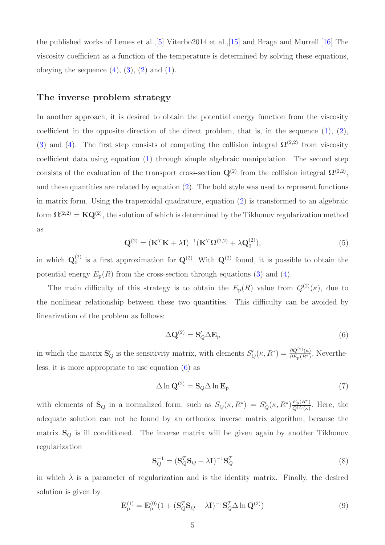the published works of Lemes et al.,[\[5\]](#page-10-4) Viterbo2014 et al.,[\[15\]](#page-11-6) and Braga and Murrell.[\[16\]](#page-11-7) The viscosity coefficient as a function of the temperature is determined by solving these equations, obeying the sequence  $(4)$ ,  $(3)$ ,  $(2)$  and  $(1)$ .

#### The inverse problem strategy

In another approach, it is desired to obtain the potential energy function from the viscosity coefficient in the opposite direction of the direct problem, that is, in the sequence  $(1)$ ,  $(2)$ , [\(3\)](#page-3-1) and [\(4\)](#page-3-0). The first step consists of computing the collision integral  $\Omega^{(2,2)}$  from viscosity coefficient data using equation [\(1\)](#page-3-3) through simple algebraic manipulation. The second step consists of the evaluation of the transport cross-section  $\mathbf{Q}^{(2)}$  from the collision integral  $\mathbf{\Omega}^{(2,2)}$ , and these quantities are related by equation [\(2\)](#page-3-2). The bold style was used to represent functions in matrix form. Using the trapezoidal quadrature, equation [\(2\)](#page-3-2) is transformed to an algebraic form  $\mathbf{\Omega}^{(2,2)} = \mathbf{K} \mathbf{Q}^{(2)}$ , the solution of which is determined by the Tikhonov regularization method as

<span id="page-4-2"></span>
$$
\mathbf{Q}^{(2)} = (\mathbf{K}^T \mathbf{K} + \lambda \mathbf{I})^{-1} (\mathbf{K}^T \mathbf{\Omega}^{(2,2)} + \lambda \mathbf{Q}_0^{(2)}),
$$
\n<sup>(5)</sup>

in which  $\mathbf{Q}_0^{(2)}$  $Q_0^{(2)}$  is a first approximation for  $Q^{(2)}$ . With  $Q^{(2)}$  found, it is possible to obtain the potential energy  $E_p(R)$  from the cross-section through equations [\(3\)](#page-3-1) and [\(4\)](#page-3-0).

The main difficulty of this strategy is to obtain the  $E_p(R)$  value from  $Q^{(2)}(\kappa)$ , due to the nonlinear relationship between these two quantities. This difficulty can be avoided by linearization of the problem as follows:

<span id="page-4-0"></span>
$$
\Delta \mathbf{Q}^{(2)} = \mathbf{S}'_Q \Delta \mathbf{E}_p \tag{6}
$$

in which the matrix  $\mathbf{S}'_Q$  is the sensitivity matrix, with elements  $S'_Q(\kappa, R^*) = \frac{\partial Q^{(2)}(\kappa)}{\partial E_P(R^*)}$ . Nevertheless, it is more appropriate to use equation [\(6\)](#page-4-0) as

<span id="page-4-3"></span>
$$
\Delta \ln \mathbf{Q}^{(2)} = \mathbf{S}_Q \Delta \ln \mathbf{E}_p \tag{7}
$$

with elements of  $\mathbf{S}_Q$  in a normalized form, such as  $S_Q(\kappa, R^*) = S'_Q(\kappa, R^*) \frac{E_P(R^*)}{Q^{(2)}(\kappa)}$  $\frac{E_{\rm p}(R)}{Q^{(2)}(\kappa)}$ . Here, the adequate solution can not be found by an orthodox inverse matrix algorithm, because the matrix  $S_Q$  is ill conditioned. The inverse matrix will be given again by another Tikhonov regularization

$$
\mathbf{S}_Q^{-1} = (\mathbf{S}_Q^T \mathbf{S}_Q + \lambda \mathbf{I})^{-1} \mathbf{S}_Q^T
$$
\n(8)

in which  $\lambda$  is a parameter of regularization and is the identity matrix. Finally, the desired solution is given by

<span id="page-4-1"></span>
$$
\mathbf{E}_{\mathbf{p}}^{(1)} = \mathbf{E}_{\mathbf{p}}^{(0)} (1 + (\mathbf{S}_Q^T \mathbf{S}_Q + \lambda \mathbf{I})^{-1} \mathbf{S}_Q^T \Delta \ln \mathbf{Q}^{(2)})
$$
(9)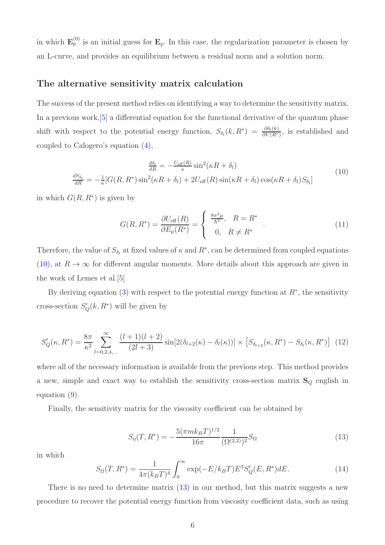in which  $\mathbf{E}_{\rm p}^{(0)}$  is an initial guess for  $\mathbf{E}_{\rm p}$ . In this case, the regularization parameter is chosen by an L-curve, and provides an equilibrium between a residual norm and a solution norm.

#### The alternative sensitivity matrix calculation

The success of the present method relies on identifying a way to determine the sensitivity matrix. In a previous work,[\[5\]](#page-10-4) a differential equation for the functional derivative of the quantum phase shift with respect to the potential energy function,  $S_{\delta_l}(k, R^*) = \frac{\partial \delta_l(k)}{\partial V(R^*)}$ , is established and coupled to Calogero's equation [\(4\)](#page-3-0),

<span id="page-5-0"></span>
$$
\frac{d\delta_l}{dR} = -\frac{U_{\text{eff}}(R)}{\kappa} \sin^2(\kappa R + \delta_l)
$$
\n
$$
\frac{dS_{\delta_l}}{dR} = -\frac{1}{\kappa} [G(R, R^*) \sin^2(\kappa R + \delta_l) + 2U_{\text{eff}}(R) \sin(\kappa R + \delta_l) \cos(\kappa R + \delta_l) S_{\delta_l}]
$$
\n(10)

in which  $G(R, R^*)$  is given by

<span id="page-5-3"></span>
$$
G(R, R^*) = \frac{\partial U_{\text{eff}}(R)}{\partial E_{\text{p}}(R^*)} = \begin{cases} \frac{8\pi^2 \mu}{\hbar^2}, & R = R^* \\ 0, & R \neq R^* \end{cases} . \tag{11}
$$

Therefore, the value of  $S_{\delta_l}$  at fixed values of  $\kappa$  and  $R^*$ , can be determined from coupled equations [\(10\)](#page-5-0), at  $R \to \infty$  for different angular moments. More details about this approach are given in the work of Lemes et al.[\[5\]](#page-10-4)

By deriving equation [\(3\)](#page-3-1) with respect to the potential energy function at  $R^*$ , the sensitivity cross-section  $S'_{Q}(k, R^*)$  will be given by

<span id="page-5-2"></span>
$$
S'_{Q}(\kappa, R^*) = \frac{8\pi}{\kappa^2} \sum_{l=0,2,4,...}^{\infty} \frac{(l+1)(l+2)}{(2l+3)} \sin[2(\delta_{l+2}(\kappa) - \delta_l(\kappa))] \times \left[S_{\delta_{l+2}}(\kappa, R^*) - S_{\delta_l}(\kappa, R^*)\right] (12)
$$

where all of the necessary information is available from the previous step. This method provides a new, simple and exact way to establish the sensitivity cross-section matrix  $S_Q$  english in equation [\(9\)](#page-4-1).

Finally, the sensitivity matrix for the viscosity coefficient can be obtained by

<span id="page-5-1"></span>
$$
S_{\eta}(T, R^*) = -\frac{5(\pi mk_BT)^{1/2}}{16\pi} \frac{1}{(\Omega^{(2,2)})^2} S_{\Omega}
$$
\n(13)

in which

$$
S_{\Omega}(T, R^*) = \frac{1}{4\pi (k_B T)^4} \int_0^\infty \exp(-E/k_B T) E^3 S_Q'(E, R^*) dE.
$$
 (14)

There is no need to determine matrix  $(13)$  in our method, but this matrix suggests a new procedure to recover the potential energy function from viscosity coefficient data, such as using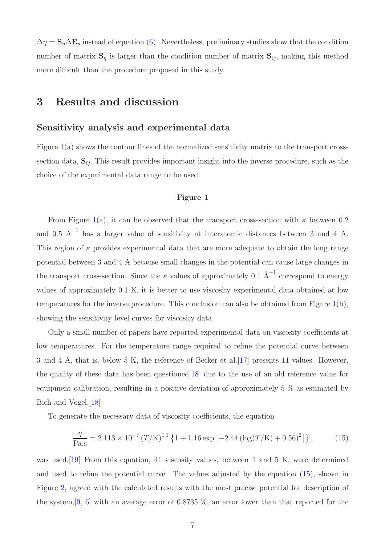$\Delta \eta = \mathbf{S}_{\eta} \Delta \mathbf{E}_{p}$  instead of equation [\(6\)](#page-4-0). Nevertheless, preliminary studies show that the condition number of matrix  $S_{\eta}$  is larger than the condition number of matrix  $S_Q$ , making this method more difficult than the procedure proposed in this study.

### 3 Results and discussion

#### Sensitivity analysis and experimental data

Figure [1\(](#page-12-0)a) shows the contour lines of the normalized sensitivity matrix to the transport crosssection data,  $S_Q$ . This result provides important insight into the inverse procedure, such as the choice of the experimental data range to be used.

#### Figure 1

From Figure [1\(](#page-12-0)a), it can be observed that the transport cross-section with  $\kappa$  between 0.2 and 0.5  $\text{\AA}^{-1}$  has a larger value of sensitivity at interatomic distances between 3 and 4  $\text{\AA}$ . This region of  $\kappa$  provides experimental data that are more adequate to obtain the long range potential between 3 and  $4 \text{ Å}$  because small changes in the potential can cause large changes in the transport cross-section. Since the  $\kappa$  values of approximately 0.1  $\AA^{-1}$  correspond to energy values of approximately 0.1 K, it is better to use viscosity experimental data obtained at low temperatures for the inverse procedure. This conclusion can also be obtained from Figure [1\(](#page-12-0)b), showing the sensitivity level curves for viscosity data.

Only a small number of papers have reported experimental data on viscosity coefficients at low temperatures. For the temperature range required to refine the potential curve between 3 and 4 Å, that is, below 5 K, the reference of Becker et al. [\[17\]](#page-11-8) presents 11 values. However, the quality of these data has been questioned  $[18]$  due to the use of an old reference value for equipment calibration, resulting in a positive deviation of approximately 5 % as estimated by Bich and Vogel.[\[18\]](#page-11-9)

To generate the necessary data of viscosity coefficients, the equation

<span id="page-6-0"></span>
$$
\frac{\eta}{\text{Pa.s}} = 2.113 \times 10^{-7} \left( T/\text{K} \right)^{1.1} \left\{ 1 + 1.16 \exp \left[ -2.44 \left( \log(T/\text{K}) + 0.56 \right)^2 \right] \right\},\tag{15}
$$

was used.[\[19\]](#page-11-10) From this equation, 41 viscosity values, between 1 and 5 K, were determined and used to refine the potential curve. The values adjusted by the equation [\(15\)](#page-6-0), shown in Figure [2,](#page-13-0) agreed with the calculated results with the most precise potential for description of the system, [\[9,](#page-11-0) [6\]](#page-10-5) with an average error of 0.8735  $\%$ , an error lower than that reported for the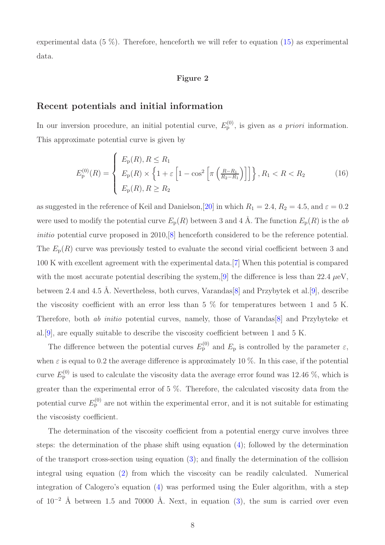experimental data  $(5\%)$ . Therefore, henceforth we will refer to equation  $(15)$  as experimental data.

#### Figure 2

#### Recent potentials and initial information

In our inversion procedure, an initial potential curve,  $E_{\rm p}^{(0)}$ , is given as a priori information. This approximate potential curve is given by

$$
E_{\rm p}^{(0)}(R) = \begin{cases} E_{\rm p}(R), R \le R_1 \\ E_{\rm p}(R) \times \left\{ 1 + \varepsilon \left[ 1 - \cos^2 \left[ \pi \left( \frac{R - R_1}{R_2 - R_1} \right) \right] \right] \right\}, R_1 < R < R_2 \\ E_{\rm p}(R), R \ge R_2 \end{cases} \tag{16}
$$

as suggested in the reference of Keil and Danielson, [\[20\]](#page-11-11) in which  $R_1 = 2.4$ ,  $R_2 = 4.5$ , and  $\varepsilon = 0.2$ were used to modify the potential curve  $E_p(R)$  between 3 and 4 Å. The function  $E_p(R)$  is the ab initio potential curve proposed in 2010, [\[8\]](#page-10-7) henceforth considered to be the reference potential. The  $E_p(R)$  curve was previously tested to evaluate the second virial coefficient between 3 and 100 K with excellent agreement with the experimental data.[\[7\]](#page-10-6) When this potential is compared with the most accurate potential describing the system, [\[9\]](#page-11-0) the difference is less than 22.4  $\mu$ eV, between 2.4 and 4.5 Å. Nevertheless, both curves, Varandas [\[8\]](#page-10-7) and Przybytek et al. [\[9\]](#page-11-0), describe the viscosity coefficient with an error less than  $5\%$  for temperatures between 1 and  $5\,$  K. Therefore, both ab initio potential curves, namely, those of Varandas[\[8\]](#page-10-7) and Przybyteke et al.[\[9\]](#page-11-0), are equally suitable to describe the viscosity coefficient between 1 and 5 K.

The difference between the potential curves  $E_{p}^{(0)}$  and  $E_{p}$  is controlled by the parameter  $\varepsilon$ , when  $\varepsilon$  is equal to 0.2 the average difference is approximately 10 %. In this case, if the potential curve  $E_{\rm p}^{(0)}$  is used to calculate the viscosity data the average error found was 12.46 %, which is greater than the experimental error of 5 %. Therefore, the calculated viscosity data from the potential curve  $E_{\rm p}^{(0)}$  are not within the experimental error, and it is not suitable for estimating the viscosisty coefficient.

The determination of the viscosity coefficient from a potential energy curve involves three steps: the determination of the phase shift using equation [\(4\)](#page-3-0); followed by the determination of the transport cross-section using equation [\(3\)](#page-3-1); and finally the determination of the collision integral using equation [\(2\)](#page-3-2) from which the viscosity can be readily calculated. Numerical integration of Calogero's equation [\(4\)](#page-3-0) was performed using the Euler algorithm, with a step of  $10^{-2}$  Å between 1.5 and 70000 Å. Next, in equation [\(3\)](#page-3-1), the sum is carried over even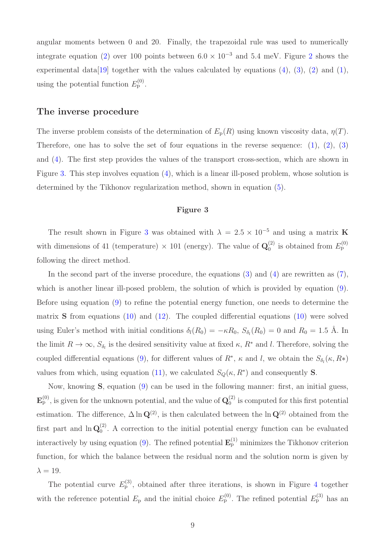angular moments between 0 and 20. Finally, the trapezoidal rule was used to numerically integrate equation [\(2\)](#page-3-2) over 100 points between  $6.0 \times 10^{-3}$  and  $5.4 \text{ meV}$ . Figure [2](#page-13-0) shows the experimental data [\[19\]](#page-11-10) together with the values calculated by equations  $(4)$ ,  $(3)$ ,  $(2)$  and  $(1)$ , using the potential function  $E_{\rm p}^{(0)}$ .

#### The inverse procedure

The inverse problem consists of the determination of  $E_p(R)$  using known viscosity data,  $\eta(T)$ . Therefore, one has to solve the set of four equations in the reverse sequence:  $(1)$ ,  $(2)$ ,  $(3)$ and [\(4\)](#page-3-0). The first step provides the values of the transport cross-section, which are shown in Figure [3.](#page-14-0) This step involves equation [\(4\)](#page-3-0), which is a linear ill-posed problem, whose solution is determined by the Tikhonov regularization method, shown in equation [\(5\)](#page-4-2).

#### Figure 3

The result shown in Figure [3](#page-14-0) was obtained with  $\lambda = 2.5 \times 10^{-5}$  and using a matrix K with dimensions of 41 (temperature)  $\times$  101 (energy). The value of  $\mathbf{Q}_0^{(2)}$  $_{0}^{(2)}$  is obtained from  $E_{\rm p}^{(0)}$ following the direct method.

In the second part of the inverse procedure, the equations  $(3)$  and  $(4)$  are rewritten as  $(7)$ , which is another linear ill-posed problem, the solution of which is provided by equation  $(9)$ . Before using equation [\(9\)](#page-4-1) to refine the potential energy function, one needs to determine the matrix **S** from equations [\(10\)](#page-5-0) and [\(12\)](#page-5-2). The coupled differential equations (10) were solved using Euler's method with initial conditions  $\delta_l(R_0) = -\kappa R_0$ ,  $S_{\delta_l}(R_0) = 0$  and  $R_0 = 1.5$  Å. In the limit  $R \to \infty$ ,  $S_{\delta_l}$  is the desired sensitivity value at fixed  $\kappa$ ,  $R^*$  and l. Therefore, solving the coupled differential equations [\(9\)](#page-4-1), for different values of  $R^*$ ,  $\kappa$  and l, we obtain the  $S_{\delta_l}(\kappa, R*)$ values from which, using equation [\(11\)](#page-5-3), we calculated  $S_Q(\kappa, R^*)$  and consequently **S**.

Now, knowing S, equation [\(9\)](#page-4-1) can be used in the following manner: first, an initial guess,  $\mathbf{E}_{\rm p}^{(0)}$ , is given for the unknown potential, and the value of  $\mathbf{Q}_{0}^{(2)}$  $\binom{1}{0}$  is computed for this first potential estimation. The difference,  $\Delta \ln \mathbf{Q}^{(2)}$ , is then calculated between the  $\ln \mathbf{Q}^{(2)}$  obtained from the first part and  $\ln Q_0^{(2)}$  $_{0}^{(2)}$ . A correction to the initial potential energy function can be evaluated interactively by using equation [\(9\)](#page-4-1). The refined potential  $\mathbf{E}_{\rm p}^{(1)}$  minimizes the Tikhonov criterion function, for which the balance between the residual norm and the solution norm is given by  $\lambda = 19$ .

The potential curve  $E_{p}^{(3)}$ , obtained after three iterations, is shown in Figure [4](#page-14-1) together with the reference potential  $E_p$  and the initial choice  $E_p^{(0)}$ . The refined potential  $E_p^{(3)}$  has an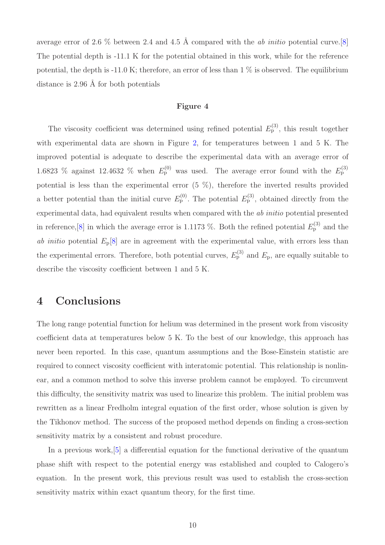average error of 2.6  $\%$  between 2.4 and 4.5 Å compared with the *ab initio* potential curve.[\[8\]](#page-10-7) The potential depth is -11.1 K for the potential obtained in this work, while for the reference potential, the depth is -11.0 K; therefore, an error of less than  $1\%$  is observed. The equilibrium distance is  $2.96 \text{ Å}$  for both potentials

#### Figure 4

The viscosity coefficient was determined using refined potential  $E_p^{(3)}$ , this result together with experimental data are shown in Figure [2,](#page-13-0) for temperatures between 1 and 5 K. The improved potential is adequate to describe the experimental data with an average error of 1.6823 % against 12.4632 % when  $E_p^{(0)}$  was used. The average error found with the  $E_p^{(3)}$ potential is less than the experimental error (5 %), therefore the inverted results provided a better potential than the initial curve  $E_p^{(0)}$ . The potential  $E_p^{(3)}$ , obtained directly from the experimental data, had equivalent results when compared with the ab initio potential presented in reference, [\[8\]](#page-10-7) in which the average error is 1.1173 %. Both the refined potential  $E_{\rm p}^{\rm (3)}$  and the ab initio potential  $E_p[8]$  $E_p[8]$  are in agreement with the experimental value, with errors less than the experimental errors. Therefore, both potential curves,  $E_p^{(3)}$  and  $E_p$ , are equally suitable to describe the viscosity coefficient between 1 and 5 K.

# 4 Conclusions

The long range potential function for helium was determined in the present work from viscosity coefficient data at temperatures below 5 K. To the best of our knowledge, this approach has never been reported. In this case, quantum assumptions and the Bose-Einstein statistic are required to connect viscosity coefficient with interatomic potential. This relationship is nonlinear, and a common method to solve this inverse problem cannot be employed. To circumvent this difficulty, the sensitivity matrix was used to linearize this problem. The initial problem was rewritten as a linear Fredholm integral equation of the first order, whose solution is given by the Tikhonov method. The success of the proposed method depends on finding a cross-section sensitivity matrix by a consistent and robust procedure.

In a previous work,[\[5\]](#page-10-4) a differential equation for the functional derivative of the quantum phase shift with respect to the potential energy was established and coupled to Calogero's equation. In the present work, this previous result was used to establish the cross-section sensitivity matrix within exact quantum theory, for the first time.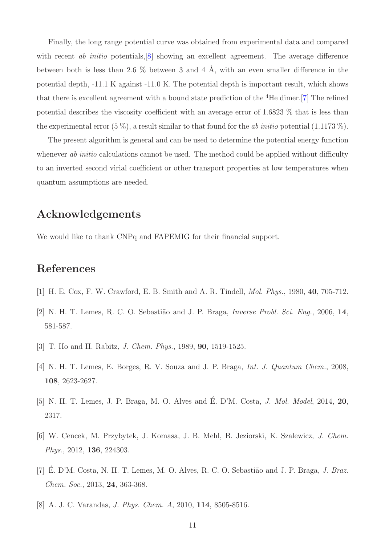Finally, the long range potential curve was obtained from experimental data and compared with recent *ab initio* potentials,  $\begin{bmatrix} 8 \\ 8 \end{bmatrix}$  showing an excellent agreement. The average difference between both is less than 2.6  $\%$  between 3 and 4 Å, with an even smaller difference in the potential depth, -11.1 K against -11.0 K. The potential depth is important result, which shows that there is excellent agreement with a bound state prediction of the <sup>4</sup>He dimer.[\[7\]](#page-10-6) The refined potential describes the viscosity coefficient with an average error of 1.6823 % that is less than the experimental error  $(5\%)$ , a result similar to that found for the *ab initio* potential  $(1.1173\%)$ .

The present algorithm is general and can be used to determine the potential energy function whenever ab initio calculations cannot be used. The method could be applied without difficulty to an inverted second virial coefficient or other transport properties at low temperatures when quantum assumptions are needed.

# Acknowledgements

We would like to thank CNPq and FAPEMIG for their financial support.

# <span id="page-10-0"></span>References

- <span id="page-10-1"></span>[1] H. E. Cox, F. W. Crawford, E. B. Smith and A. R. Tindell, Mol. Phys., 1980, 40, 705-712.
- <span id="page-10-2"></span>[2] N. H. T. Lemes, R. C. O. Sebastião and J. P. Braga, *Inverse Probl. Sci. Eng.*, 2006, 14, 581-587.
- <span id="page-10-3"></span>[3] T. Ho and H. Rabitz, *J. Chem. Phys.*, 1989, **90**, 1519-1525.
- <span id="page-10-4"></span>[4] N. H. T. Lemes, E. Borges, R. V. Souza and J. P. Braga, *Int. J. Quantum Chem.*, 2008, 108, 2623-2627.
- <span id="page-10-5"></span>[5] N. H. T. Lemes, J. P. Braga, M. O. Alves and É. D'M. Costa, *J. Mol. Model*, 2014, 20, 2317.
- <span id="page-10-6"></span>[6] W. Cencek, M. Przybytek, J. Komasa, J. B. Mehl, B. Jeziorski, K. Szalewicz, J. Chem. Phys., 2012, 136, 224303.
- <span id="page-10-7"></span>[7] E. D'M. Costa, N. H. T. Lemes, M. O. Alves, R. C. O. Sebastião and J. P. Braga, J. Braz. Chem. Soc., 2013, 24, 363-368.
- [8] A. J. C. Varandas, J. Phys. Chem. A, 2010, 114, 8505-8516.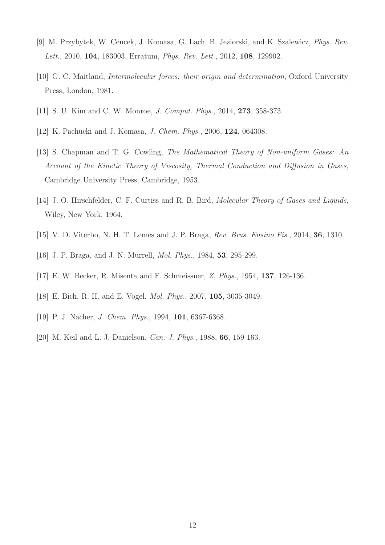- <span id="page-11-1"></span><span id="page-11-0"></span>[9] M. Przybytek, W. Cencek, J. Komasa, G. Lach, B. Jeziorski, and K. Szalewicz, Phys. Rev. Lett., 2010, 104, 183003. Erratum, Phys. Rev. Lett., 2012, 108, 129902.
- <span id="page-11-2"></span>[10] G. C. Maitland, *Intermolecular forces: their origin and determination*, Oxford University Press, London, 1981.
- <span id="page-11-3"></span>[11] S. U. Kim and C. W. Monroe, J. Comput. Phys., 2014, 273, 358-373.
- <span id="page-11-4"></span>[12] K. Pachucki and J. Komasa, *J. Chem. Phys.*, 2006, **124**, 064308.
- [13] S. Chapman and T. G. Cowling, The Mathematical Theory of Non-uniform Gases: An Account of the Kinetic Theory of Viscosity, Thermal Conduction and Diffusion in Gases, Cambridge University Press, Cambridge, 1953.
- <span id="page-11-6"></span><span id="page-11-5"></span>[14] J. O. Hirschfelder, C. F. Curtiss and R. B. Bird, *Molecular Theory of Gases and Liquids*, Wiley, New York, 1964.
- <span id="page-11-7"></span>[15] V. D. Viterbo, N. H. T. Lemes and J. P. Braga, Rev. Bras. Ensino Fis., 2014, 36, 1310.
- <span id="page-11-8"></span>[16] J. P. Braga, and J. N. Murrell, *Mol. Phys.*, 1984, **53**, 295-299.
- <span id="page-11-9"></span>[17] E. W. Becker, R. Misenta and F. Schmeissner, Z. Phys., 1954, 137, 126-136.
- <span id="page-11-10"></span>[18] E. Bich, R. H. and E. Vogel, Mol. Phys., 2007, 105, 3035-3049.
- <span id="page-11-11"></span>[19] P. J. Nacher, *J. Chem. Phys.*, 1994, **101**, 6367-6368.
- [20] M. Keil and L. J. Danielson, *Can. J. Phys.*, 1988, **66**, 159-163.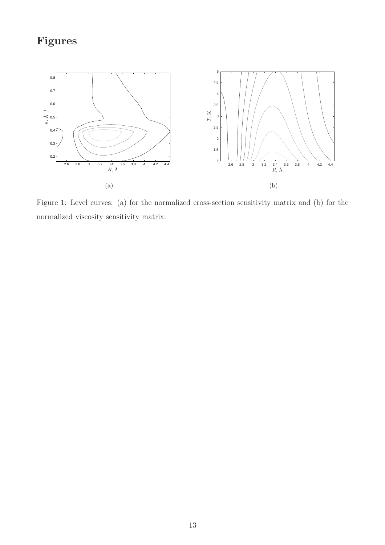# Figures



<span id="page-12-0"></span>Figure 1: Level curves: (a) for the normalized cross-section sensitivity matrix and (b) for the normalized viscosity sensitivity matrix.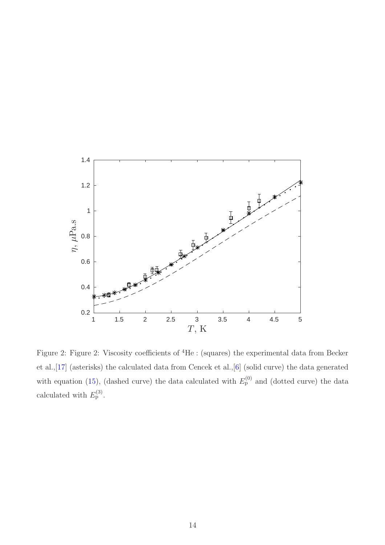

<span id="page-13-0"></span>Figure 2: Figure 2: Viscosity coefficients of <sup>4</sup>He : (squares) the experimental data from Becker et al.,[\[17\]](#page-11-8) (asterisks) the calculated data from Cencek et al.,[\[6\]](#page-10-5) (solid curve) the data generated with equation [\(15\)](#page-6-0), (dashed curve) the data calculated with  $E_p^{(0)}$  and (dotted curve) the data calculated with  $E_{\rm p}^{(3)}$ .